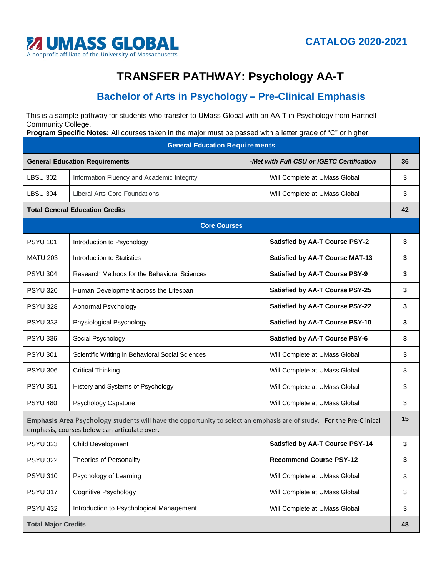

## **TRANSFER PATHWAY: Psychology AA-T**

## **Bachelor of Arts in Psychology – Pre-Clinical Emphasis**

This is a sample pathway for students who transfer to UMass Global with an AA-T in Psychology from Hartnell Community College.

**Program Specific Notes:** All courses taken in the major must be passed with a letter grade of "C" or higher.

| <b>General Education Requirements</b>                                                                                                                                |                                                  |                                           |              |
|----------------------------------------------------------------------------------------------------------------------------------------------------------------------|--------------------------------------------------|-------------------------------------------|--------------|
| <b>General Education Requirements</b>                                                                                                                                |                                                  | -Met with Full CSU or IGETC Certification | 36           |
| <b>LBSU 302</b>                                                                                                                                                      | Information Fluency and Academic Integrity       | Will Complete at UMass Global             | 3            |
| <b>LBSU 304</b>                                                                                                                                                      | <b>Liberal Arts Core Foundations</b>             | Will Complete at UMass Global             | 3            |
| <b>Total General Education Credits</b>                                                                                                                               |                                                  |                                           | 42           |
| <b>Core Courses</b>                                                                                                                                                  |                                                  |                                           |              |
| <b>PSYU 101</b>                                                                                                                                                      | Introduction to Psychology                       | <b>Satisfied by AA-T Course PSY-2</b>     | 3            |
| <b>MATU 203</b>                                                                                                                                                      | Introduction to Statistics                       | <b>Satisfied by AA-T Course MAT-13</b>    | 3            |
| <b>PSYU 304</b>                                                                                                                                                      | Research Methods for the Behavioral Sciences     | <b>Satisfied by AA-T Course PSY-9</b>     | 3            |
| <b>PSYU 320</b>                                                                                                                                                      | Human Development across the Lifespan            | <b>Satisfied by AA-T Course PSY-25</b>    | 3            |
| <b>PSYU 328</b>                                                                                                                                                      | Abnormal Psychology                              | <b>Satisfied by AA-T Course PSY-22</b>    | 3            |
| <b>PSYU 333</b>                                                                                                                                                      | Physiological Psychology                         | <b>Satisfied by AA-T Course PSY-10</b>    | 3            |
| <b>PSYU 336</b>                                                                                                                                                      | Social Psychology                                | <b>Satisfied by AA-T Course PSY-6</b>     | 3            |
| <b>PSYU 301</b>                                                                                                                                                      | Scientific Writing in Behavioral Social Sciences | Will Complete at UMass Global             | 3            |
| <b>PSYU 306</b>                                                                                                                                                      | <b>Critical Thinking</b>                         | Will Complete at UMass Global             | 3            |
| <b>PSYU 351</b>                                                                                                                                                      | History and Systems of Psychology                | Will Complete at UMass Global             | 3            |
| <b>PSYU 480</b>                                                                                                                                                      | Psychology Capstone                              | Will Complete at UMass Global             | 3            |
| Emphasis Area Psychology students will have the opportunity to select an emphasis are of study. For the Pre-Clinical<br>emphasis, courses below can articulate over. |                                                  |                                           | 15           |
| <b>PSYU 323</b>                                                                                                                                                      | <b>Child Development</b>                         | <b>Satisfied by AA-T Course PSY-14</b>    | 3            |
| <b>PSYU 322</b>                                                                                                                                                      | <b>Theories of Personality</b>                   | <b>Recommend Course PSY-12</b>            | 3            |
| <b>PSYU 310</b>                                                                                                                                                      | Psychology of Learning                           | Will Complete at UMass Global             | 3            |
| <b>PSYU 317</b>                                                                                                                                                      | <b>Cognitive Psychology</b>                      | Will Complete at UMass Global             | $\mathbf{3}$ |
| <b>PSYU 432</b>                                                                                                                                                      | Introduction to Psychological Management         | Will Complete at UMass Global             | 3            |
| <b>Total Major Credits</b>                                                                                                                                           |                                                  |                                           | 48           |